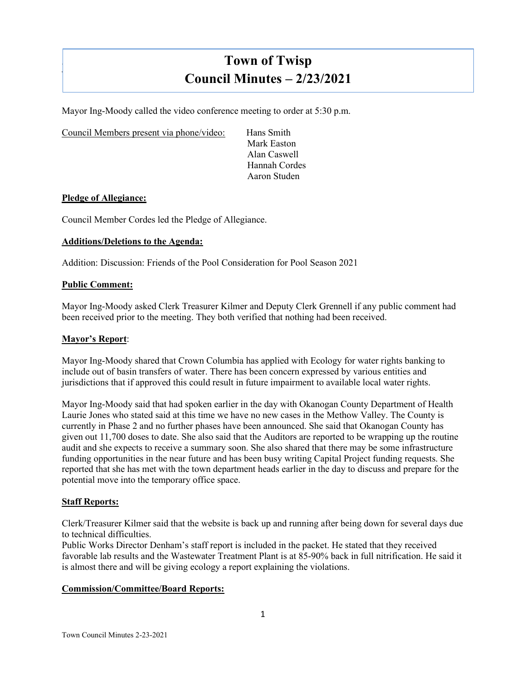# **Town of Twisp Council Minutes – 2/23/2021**

Mayor Ing-Moody called the video conference meeting to order at 5:30 p.m.

Council Members present via phone/video: Hans Smith

Mark Easton Alan Caswell Hannah Cordes Aaron Studen

# **Pledge of Allegiance:**

]

Council Member Cordes led the Pledge of Allegiance.

## **Additions/Deletions to the Agenda:**

Addition: Discussion: Friends of the Pool Consideration for Pool Season 2021

## **Public Comment:**

Mayor Ing-Moody asked Clerk Treasurer Kilmer and Deputy Clerk Grennell if any public comment had been received prior to the meeting. They both verified that nothing had been received.

## **Mayor's Report**:

Mayor Ing-Moody shared that Crown Columbia has applied with Ecology for water rights banking to include out of basin transfers of water. There has been concern expressed by various entities and jurisdictions that if approved this could result in future impairment to available local water rights.

Mayor Ing-Moody said that had spoken earlier in the day with Okanogan County Department of Health Laurie Jones who stated said at this time we have no new cases in the Methow Valley. The County is currently in Phase 2 and no further phases have been announced. She said that Okanogan County has given out 11,700 doses to date. She also said that the Auditors are reported to be wrapping up the routine audit and she expects to receive a summary soon. She also shared that there may be some infrastructure funding opportunities in the near future and has been busy writing Capital Project funding requests. She reported that she has met with the town department heads earlier in the day to discuss and prepare for the potential move into the temporary office space.

## **Staff Reports:**

Clerk/Treasurer Kilmer said that the website is back up and running after being down for several days due to technical difficulties.

Public Works Director Denham's staff report is included in the packet. He stated that they received favorable lab results and the Wastewater Treatment Plant is at 85-90% back in full nitrification. He said it is almost there and will be giving ecology a report explaining the violations.

# **Commission/Committee/Board Reports:**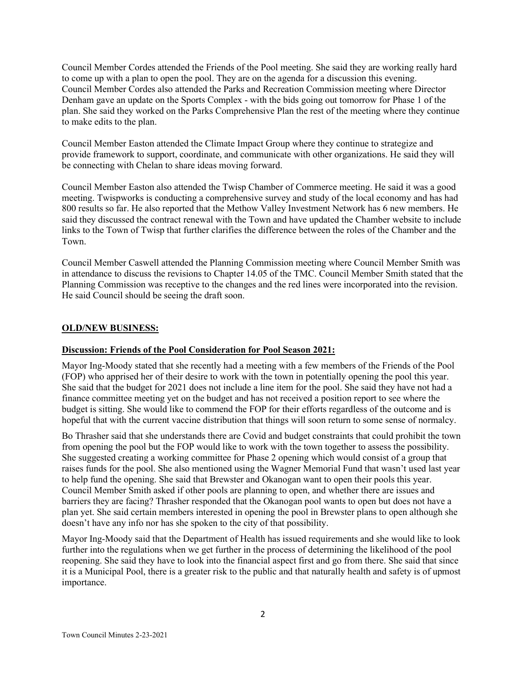Council Member Cordes attended the Friends of the Pool meeting. She said they are working really hard to come up with a plan to open the pool. They are on the agenda for a discussion this evening. Council Member Cordes also attended the Parks and Recreation Commission meeting where Director Denham gave an update on the Sports Complex - with the bids going out tomorrow for Phase 1 of the plan. She said they worked on the Parks Comprehensive Plan the rest of the meeting where they continue to make edits to the plan.

Council Member Easton attended the Climate Impact Group where they continue to strategize and provide framework to support, coordinate, and communicate with other organizations. He said they will be connecting with Chelan to share ideas moving forward.

Council Member Easton also attended the Twisp Chamber of Commerce meeting. He said it was a good meeting. Twispworks is conducting a comprehensive survey and study of the local economy and has had 800 results so far. He also reported that the Methow Valley Investment Network has 6 new members. He said they discussed the contract renewal with the Town and have updated the Chamber website to include links to the Town of Twisp that further clarifies the difference between the roles of the Chamber and the Town.

Council Member Caswell attended the Planning Commission meeting where Council Member Smith was in attendance to discuss the revisions to Chapter 14.05 of the TMC. Council Member Smith stated that the Planning Commission was receptive to the changes and the red lines were incorporated into the revision. He said Council should be seeing the draft soon.

# **OLD/NEW BUSINESS:**

# **Discussion: Friends of the Pool Consideration for Pool Season 2021:**

Mayor Ing-Moody stated that she recently had a meeting with a few members of the Friends of the Pool (FOP) who apprised her of their desire to work with the town in potentially opening the pool this year. She said that the budget for 2021 does not include a line item for the pool. She said they have not had a finance committee meeting yet on the budget and has not received a position report to see where the budget is sitting. She would like to commend the FOP for their efforts regardless of the outcome and is hopeful that with the current vaccine distribution that things will soon return to some sense of normalcy.

Bo Thrasher said that she understands there are Covid and budget constraints that could prohibit the town from opening the pool but the FOP would like to work with the town together to assess the possibility. She suggested creating a working committee for Phase 2 opening which would consist of a group that raises funds for the pool. She also mentioned using the Wagner Memorial Fund that wasn't used last year to help fund the opening. She said that Brewster and Okanogan want to open their pools this year. Council Member Smith asked if other pools are planning to open, and whether there are issues and barriers they are facing? Thrasher responded that the Okanogan pool wants to open but does not have a plan yet. She said certain members interested in opening the pool in Brewster plans to open although she doesn't have any info nor has she spoken to the city of that possibility.

Mayor Ing-Moody said that the Department of Health has issued requirements and she would like to look further into the regulations when we get further in the process of determining the likelihood of the pool reopening. She said they have to look into the financial aspect first and go from there. She said that since it is a Municipal Pool, there is a greater risk to the public and that naturally health and safety is of upmost importance.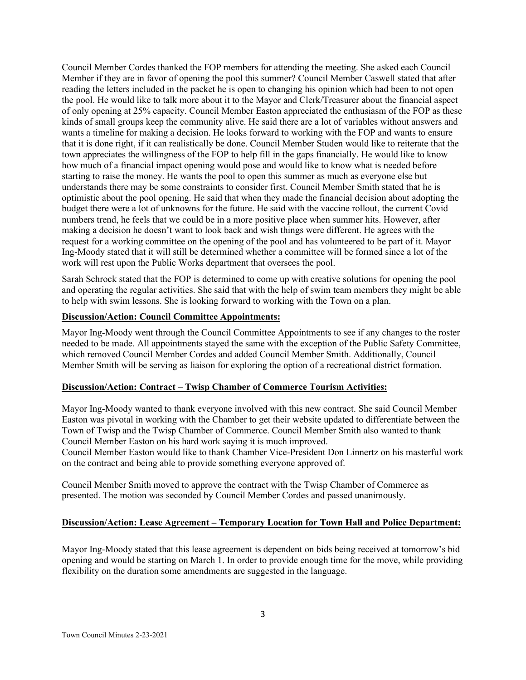Council Member Cordes thanked the FOP members for attending the meeting. She asked each Council Member if they are in favor of opening the pool this summer? Council Member Caswell stated that after reading the letters included in the packet he is open to changing his opinion which had been to not open the pool. He would like to talk more about it to the Mayor and Clerk/Treasurer about the financial aspect of only opening at 25% capacity. Council Member Easton appreciated the enthusiasm of the FOP as these kinds of small groups keep the community alive. He said there are a lot of variables without answers and wants a timeline for making a decision. He looks forward to working with the FOP and wants to ensure that it is done right, if it can realistically be done. Council Member Studen would like to reiterate that the town appreciates the willingness of the FOP to help fill in the gaps financially. He would like to know how much of a financial impact opening would pose and would like to know what is needed before starting to raise the money. He wants the pool to open this summer as much as everyone else but understands there may be some constraints to consider first. Council Member Smith stated that he is optimistic about the pool opening. He said that when they made the financial decision about adopting the budget there were a lot of unknowns for the future. He said with the vaccine rollout, the current Covid numbers trend, he feels that we could be in a more positive place when summer hits. However, after making a decision he doesn't want to look back and wish things were different. He agrees with the request for a working committee on the opening of the pool and has volunteered to be part of it. Mayor Ing-Moody stated that it will still be determined whether a committee will be formed since a lot of the work will rest upon the Public Works department that oversees the pool.

Sarah Schrock stated that the FOP is determined to come up with creative solutions for opening the pool and operating the regular activities. She said that with the help of swim team members they might be able to help with swim lessons. She is looking forward to working with the Town on a plan.

## **Discussion/Action: Council Committee Appointments:**

Mayor Ing-Moody went through the Council Committee Appointments to see if any changes to the roster needed to be made. All appointments stayed the same with the exception of the Public Safety Committee, which removed Council Member Cordes and added Council Member Smith. Additionally, Council Member Smith will be serving as liaison for exploring the option of a recreational district formation.

# **Discussion/Action: Contract – Twisp Chamber of Commerce Tourism Activities:**

Mayor Ing-Moody wanted to thank everyone involved with this new contract. She said Council Member Easton was pivotal in working with the Chamber to get their website updated to differentiate between the Town of Twisp and the Twisp Chamber of Commerce. Council Member Smith also wanted to thank Council Member Easton on his hard work saying it is much improved.

Council Member Easton would like to thank Chamber Vice-President Don Linnertz on his masterful work on the contract and being able to provide something everyone approved of.

Council Member Smith moved to approve the contract with the Twisp Chamber of Commerce as presented. The motion was seconded by Council Member Cordes and passed unanimously.

## **Discussion/Action: Lease Agreement – Temporary Location for Town Hall and Police Department:**

Mayor Ing-Moody stated that this lease agreement is dependent on bids being received at tomorrow's bid opening and would be starting on March 1. In order to provide enough time for the move, while providing flexibility on the duration some amendments are suggested in the language.